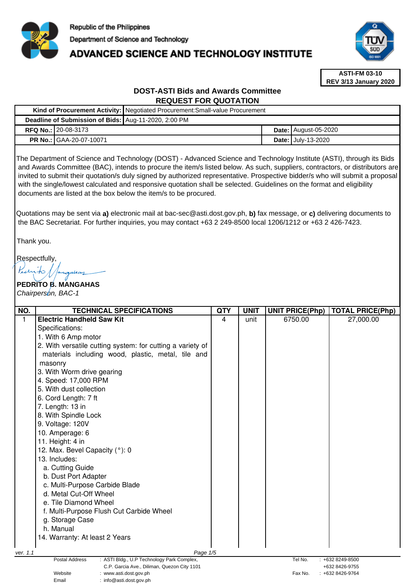

# **ADVANCED SCIENCE AND TECHNOLOGY INSTITUTE**



**ASTI-FM 03-10 REV 3/13 January 2020**

# **DOST-ASTI Bids and Awards Committee REQUEST FOR QUOTATION**

|                                                      | Kind of Procurement Activity: Negotiated Procurement: Small-value Procurement |  |                             |  |  |
|------------------------------------------------------|-------------------------------------------------------------------------------|--|-----------------------------|--|--|
| Deadline of Submission of Bids: Aug-11-2020, 2:00 PM |                                                                               |  |                             |  |  |
| <b>RFQ No.:   20-08-3173</b>                         |                                                                               |  | <b>Date: August-05-2020</b> |  |  |
| <b>PR No.: GAA-20-07-10071</b>                       |                                                                               |  | <b>Date: July-13-2020</b>   |  |  |

The Department of Science and Technology (DOST) - Advanced Science and Technology Institute (ASTI), through its Bids and Awards Committee (BAC), intends to procure the item/s listed below. As such, suppliers, contractors, or distributors are invited to submit their quotation/s duly signed by authorized representative. Prospective bidder/s who will submit a proposal with the single/lowest calculated and responsive quotation shall be selected. Guidelines on the format and eligibility documents are listed at the box below the item/s to be procured.

Quotations may be sent via **a)** electronic mail at bac-sec@asti.dost.gov.ph, **b)** fax message, or **c)** delivering documents to the BAC Secretariat. For further inquiries, you may contact +63 2 249-8500 local 1206/1212 or +63 2 426-7423.

Thank you.

Respectfully,

 $\mathcal{A}$ ahay

**PEDRITO B. MANGAHAS**  Chairperson, BAC-1

| NO.                               | <b>TECHNICAL SPECIFICATIONS</b>                                                                                    | <b>QTY</b> | <b>UNIT</b> | <b>UNIT PRICE(Php)</b> | <b>TOTAL PRICE(Php)</b>            |
|-----------------------------------|--------------------------------------------------------------------------------------------------------------------|------------|-------------|------------------------|------------------------------------|
| 1                                 | <b>Electric Handheld Saw Kit</b>                                                                                   | 4          | unit        | 6750.00                | 27,000.00                          |
|                                   | Specifications:                                                                                                    |            |             |                        |                                    |
|                                   | 1. With 6 Amp motor                                                                                                |            |             |                        |                                    |
|                                   | 2. With versatile cutting system: for cutting a variety of                                                         |            |             |                        |                                    |
|                                   | materials including wood, plastic, metal, tile and                                                                 |            |             |                        |                                    |
|                                   | masonry                                                                                                            |            |             |                        |                                    |
|                                   | 3. With Worm drive gearing                                                                                         |            |             |                        |                                    |
|                                   | 4. Speed: 17,000 RPM                                                                                               |            |             |                        |                                    |
|                                   | 5. With dust collection                                                                                            |            |             |                        |                                    |
|                                   | 6. Cord Length: 7 ft                                                                                               |            |             |                        |                                    |
|                                   | 7. Length: 13 in                                                                                                   |            |             |                        |                                    |
|                                   | 8. With Spindle Lock                                                                                               |            |             |                        |                                    |
|                                   | 9. Voltage: 120V                                                                                                   |            |             |                        |                                    |
|                                   | 10. Amperage: 6                                                                                                    |            |             |                        |                                    |
|                                   | 11. Height: 4 in                                                                                                   |            |             |                        |                                    |
|                                   | 12. Max. Bevel Capacity (°): 0                                                                                     |            |             |                        |                                    |
|                                   | 13. Includes:                                                                                                      |            |             |                        |                                    |
|                                   | a. Cutting Guide                                                                                                   |            |             |                        |                                    |
|                                   | b. Dust Port Adapter                                                                                               |            |             |                        |                                    |
|                                   | c. Multi-Purpose Carbide Blade                                                                                     |            |             |                        |                                    |
|                                   | d. Metal Cut-Off Wheel                                                                                             |            |             |                        |                                    |
|                                   | e. Tile Diamond Wheel                                                                                              |            |             |                        |                                    |
|                                   | f. Multi-Purpose Flush Cut Carbide Wheel                                                                           |            |             |                        |                                    |
|                                   | g. Storage Case                                                                                                    |            |             |                        |                                    |
|                                   | h. Manual                                                                                                          |            |             |                        |                                    |
|                                   | 14. Warranty: At least 2 Years                                                                                     |            |             |                        |                                    |
|                                   |                                                                                                                    |            |             |                        |                                    |
| ver. 1.1                          | Page 1/5                                                                                                           |            |             |                        |                                    |
|                                   | <b>Postal Address</b><br>: ASTI Bldg., U.P Technology Park Complex,<br>C.P. Garcia Ave., Diliman, Quezon City 1101 |            |             | Tel No.                | : +632 8249-8500<br>+632 8426-9755 |
| Website<br>: www.asti.dost.gov.ph |                                                                                                                    |            |             | Fax No.                | $: +6328426-9764$                  |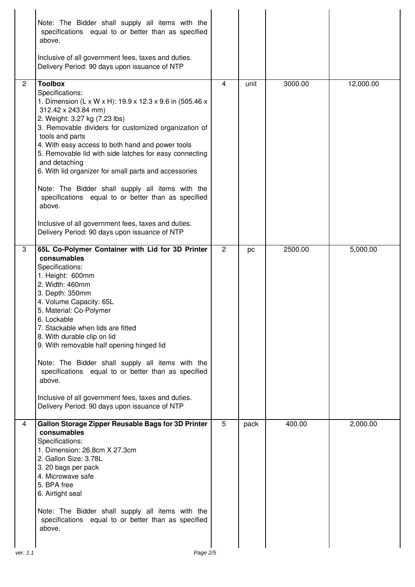|                | Note: The Bidder shall supply all items with the<br>specifications equal to or better than as specified<br>above.<br>Inclusive of all government fees, taxes and duties.<br>Delivery Period: 90 days upon issuance of NTP                                                                                                                                                                                                                                                                                                                                                                                                                             |                |      |         |           |
|----------------|-------------------------------------------------------------------------------------------------------------------------------------------------------------------------------------------------------------------------------------------------------------------------------------------------------------------------------------------------------------------------------------------------------------------------------------------------------------------------------------------------------------------------------------------------------------------------------------------------------------------------------------------------------|----------------|------|---------|-----------|
| $\overline{2}$ | <b>Toolbox</b><br>Specifications:<br>1. Dimension (L x W x H): 19.9 x 12.3 x 9.6 in (505.46 x<br>312.42 x 243.84 mm)<br>2. Weight: 3.27 kg (7.23 lbs)<br>3. Removable dividers for customized organization of<br>tools and parts<br>4. With easy access to both hand and power tools<br>5. Removable lid with side latches for easy connecting<br>and detaching<br>6. With lid organizer for small parts and accessories<br>Note: The Bidder shall supply all items with the<br>specifications equal to or better than as specified<br>above.<br>Inclusive of all government fees, taxes and duties.<br>Delivery Period: 90 days upon issuance of NTP | 4              | unit | 3000.00 | 12,000.00 |
| 3              | 65L Co-Polymer Container with Lid for 3D Printer<br>consumables<br>Specifications:<br>1. Height: 600mm<br>2. Width: 460mm<br>3. Depth: 350mm<br>4. Volume Capacity: 65L<br>5. Material: Co-Polymer<br>6. Lockable<br>7. Stackable when lids are fitted<br>8. With durable clip on lid<br>9. With removable half opening hinged lid<br>Note: The Bidder shall supply all items with the<br>specifications equal to or better than as specified<br>above.<br>Inclusive of all government fees, taxes and duties.<br>Delivery Period: 90 days upon issuance of NTP                                                                                       | $\overline{2}$ | pc   | 2500.00 | 5,000.00  |
| 4              | Gallon Storage Zipper Reusable Bags for 3D Printer<br>consumables<br>Specifications:<br>1. Dimension: 26.8cm X 27.3cm<br>2. Gallon Size: 3.78L<br>3. 20 bags per pack<br>4. Microwave safe<br>5. BPA free<br>6. Airtight seal<br>Note: The Bidder shall supply all items with the<br>specifications equal to or better than as specified<br>above.                                                                                                                                                                                                                                                                                                    | 5              | pack | 400.00  | 2,000.00  |
| ver. 1.1       | Page 2/5                                                                                                                                                                                                                                                                                                                                                                                                                                                                                                                                                                                                                                              |                |      |         |           |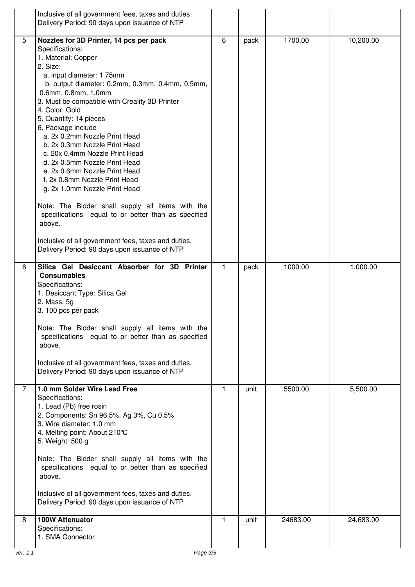|   | Inclusive of all government fees, taxes and duties.<br>Delivery Period: 90 days upon issuance of NTP                                                                                                                                                                                                                                                                                                                                                                                                                                                                                                                                                                                                                                                                                          |              |      |          |           |
|---|-----------------------------------------------------------------------------------------------------------------------------------------------------------------------------------------------------------------------------------------------------------------------------------------------------------------------------------------------------------------------------------------------------------------------------------------------------------------------------------------------------------------------------------------------------------------------------------------------------------------------------------------------------------------------------------------------------------------------------------------------------------------------------------------------|--------------|------|----------|-----------|
| 5 | Nozzles for 3D Printer, 14 pcs per pack<br>Specifications:<br>1. Material: Copper<br>2. Size:<br>a. input diameter: 1.75mm<br>b. output diameter: 0.2mm, 0.3mm, 0.4mm, 0.5mm,<br>0.6mm, 0.8mm, 1.0mm<br>3. Must be compatible with Creality 3D Printer<br>4. Color: Gold<br>5. Quantity: 14 pieces<br>6. Package include<br>a. 2x 0.2mm Nozzle Print Head<br>b. 2x 0.3mm Nozzle Print Head<br>c. 20x 0.4mm Nozzle Print Head<br>d. 2x 0.5mm Nozzle Print Head<br>e. 2x 0.6mm Nozzle Print Head<br>f. 2x 0.8mm Nozzle Print Head<br>g. 2x 1.0mm Nozzle Print Head<br>Note: The Bidder shall supply all items with the<br>specifications equal to or better than as specified<br>above.<br>Inclusive of all government fees, taxes and duties.<br>Delivery Period: 90 days upon issuance of NTP | 6            | pack | 1700.00  | 10,200.00 |
| 6 | Silica Gel Desiccant Absorber for 3D Printer<br><b>Consumables</b><br>Specifications:<br>1. Desiccant Type: Silica Gel<br>2. Mass: 5g<br>3.100 pcs per pack<br>Note: The Bidder shall supply all items with the<br>specifications equal to or better than as specified<br>above.<br>Inclusive of all government fees, taxes and duties.<br>Delivery Period: 90 days upon issuance of NTP                                                                                                                                                                                                                                                                                                                                                                                                      | 1            | pack | 1000.00  | 1,000.00  |
| 7 | 1.0 mm Solder Wire Lead Free<br>Specifications:<br>1. Lead (Pb) free rosin<br>2. Components: Sn 96.5%, Ag 3%, Cu 0.5%<br>3. Wire diameter: 1.0 mm<br>4. Melting point: About 210°C<br>5. Weight: 500 g<br>Note: The Bidder shall supply all items with the<br>specifications equal to or better than as specified<br>above.<br>Inclusive of all government fees, taxes and duties.<br>Delivery Period: 90 days upon issuance of NTP                                                                                                                                                                                                                                                                                                                                                           | 1            | unit | 5500.00  | 5,500.00  |
| 8 | 100W Attenuator<br>Specifications:<br>1. SMA Connector                                                                                                                                                                                                                                                                                                                                                                                                                                                                                                                                                                                                                                                                                                                                        | $\mathbf{1}$ | unit | 24683.00 | 24,683.00 |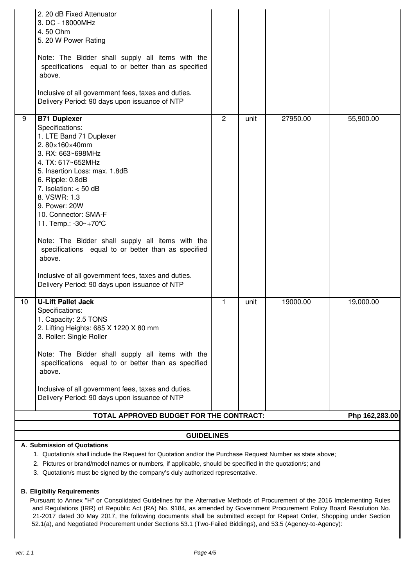|                                                                                                         | 2. 20 dB Fixed Attenuator<br>3. DC - 18000MHz<br>4.50 Ohm<br>5. 20 W Power Rating<br>Note: The Bidder shall supply all items with the<br>specifications equal to or better than as specified<br>above.<br>Inclusive of all government fees, taxes and duties.<br>Delivery Period: 90 days upon issuance of NTP                                                                                                                                                                                                             |                |      |          |                |
|---------------------------------------------------------------------------------------------------------|----------------------------------------------------------------------------------------------------------------------------------------------------------------------------------------------------------------------------------------------------------------------------------------------------------------------------------------------------------------------------------------------------------------------------------------------------------------------------------------------------------------------------|----------------|------|----------|----------------|
| 9                                                                                                       | <b>B71 Duplexer</b><br>Specifications:<br>1. LTE Band 71 Duplexer<br>2.80×160×40mm<br>3. RX: 663~698MHz<br>4. TX: 617~652MHz<br>5. Insertion Loss: max. 1.8dB<br>6. Ripple: 0.8dB<br>7. Isolation: $<$ 50 dB<br>8. VSWR: 1.3<br>9. Power: 20W<br>10. Connector: SMA-F<br>11. Temp.: -30~+70°C<br>Note: The Bidder shall supply all items with the<br>specifications equal to or better than as specified<br>above.<br>Inclusive of all government fees, taxes and duties.<br>Delivery Period: 90 days upon issuance of NTP | $\overline{2}$ | unit | 27950.00 | 55,900.00      |
| 10                                                                                                      | <b>U-Lift Pallet Jack</b><br>Specifications:<br>1. Capacity: 2.5 TONS<br>2. Lifting Heights: 685 X 1220 X 80 mm<br>3. Roller: Single Roller<br>Note: The Bidder shall supply all items with the<br>specifications equal to or better than as specified<br>above.<br>Inclusive of all government fees, taxes and duties.<br>Delivery Period: 90 days upon issuance of NTP                                                                                                                                                   | 1              | unit | 19000.00 | 19,000.00      |
|                                                                                                         | TOTAL APPROVED BUDGET FOR THE CONTRACT:                                                                                                                                                                                                                                                                                                                                                                                                                                                                                    |                |      |          | Php 162,283.00 |
| <b>GUIDELINES</b>                                                                                       |                                                                                                                                                                                                                                                                                                                                                                                                                                                                                                                            |                |      |          |                |
|                                                                                                         | A. Submission of Quotations                                                                                                                                                                                                                                                                                                                                                                                                                                                                                                |                |      |          |                |
|                                                                                                         | 1. Quotation/s shall include the Request for Quotation and/or the Purchase Request Number as state above;                                                                                                                                                                                                                                                                                                                                                                                                                  |                |      |          |                |
| 2. Pictures or brand/model names or numbers, if applicable, should be specified in the quotation/s; and |                                                                                                                                                                                                                                                                                                                                                                                                                                                                                                                            |                |      |          |                |

3. Quotation/s must be signed by the company's duly authorized representative.

## **B. Eligibiliy Requirements**

Pursuant to Annex "H" or Consolidated Guidelines for the Alternative Methods of Procurement of the 2016 Implementing Rules and Regulations (IRR) of Republic Act (RA) No. 9184, as amended by Government Procurement Policy Board Resolution No. 21-2017 dated 30 May 2017, the following documents shall be submitted except for Repeat Order, Shopping under Section 52.1(a), and Negotiated Procurement under Sections 53.1 (Two-Failed Biddings), and 53.5 (Agency-to-Agency):